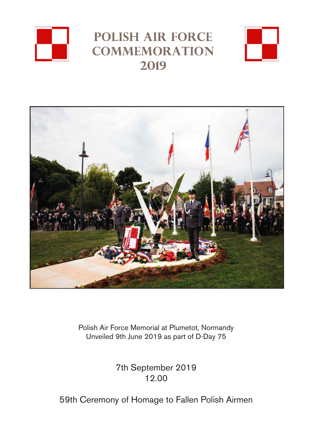

# **POLISH AIR FORCE COMMEMORATION 2019**





Polish Air Force Memorial at Plumetot, Normandy Unveiled 9th June 2019 as part of D-Day 75

> 7th September 2019 12.00

59th Ceremony of Homage to Fallen Polish Airmen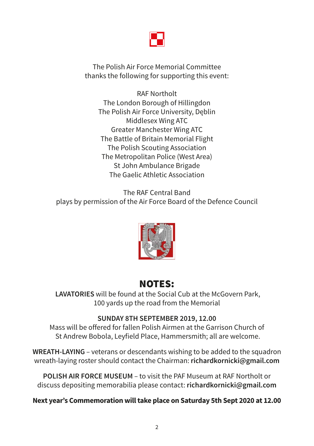

The Polish Air Force Memorial Committee thanks the following for supporting this event:

RAF Northolt The London Borough of Hillingdon The Polish Air Force University, Dęblin Middlesex Wing ATC Greater Manchester Wing ATC The Battle of Britain Memorial Flight The Polish Scouting Association The Metropolitan Police (West Area) St John Ambulance Brigade The Gaelic Athletic Association

The RAF Central Band plays by permission of the Air Force Board of the Defence Council



# NOTES:

**LAVATORIES** will be found at the Social Cub at the McGovern Park, 100 yards up the road from the Memorial

### **SUNDAY 8TH SEPTEMBER 2019, 12.00**

Mass will be offered for fallen Polish Airmen at the Garrison Church of St Andrew Bobola, Leyfield Place, Hammersmith; all are welcome.

**WREATH-LAYING** – veterans or descendants wishing to be added to the squadron wreath-laying roster should contact the Chairman: **richardkornicki@gmail.com**

**POLISH AIR FORCE MUSEUM** – to visit the PAF Museum at RAF Northolt or discuss depositing memorabilia please contact: **richardkornicki@gmail.com**

**Next year's Commemoration will take place on Saturday 5th Sept 2020 at 12.00**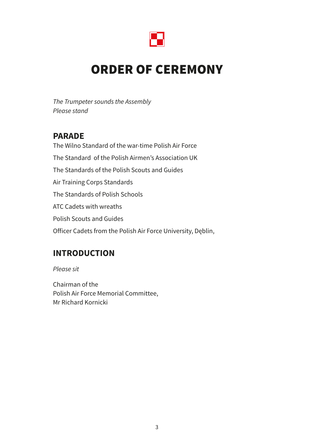

# ORDER OF CEREMONY

The Trumpeter sounds the Assembly Please stand

# **PARADE**

The Wilno Standard of the war-time Polish Air Force The Standard of the Polish Airmen's Association UK The Standards of the Polish Scouts and Guides Air Training Corps Standards The Standards of Polish Schools ATC Cadets with wreaths Polish Scouts and Guides Officer Cadets from the Polish Air Force University, Dęblin,

# **INTRODUCTION**

Please sit

Chairman of the Polish Air Force Memorial Committee, Mr Richard Kornicki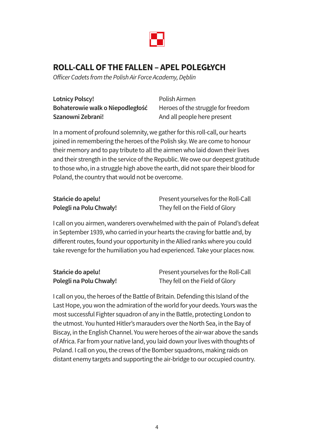

# **ROLL-CALL OF THE FALLEN – APEL POLEGŁYCH**

Officer Cadets from the Polish Air Force Academy, Dęblin

**Lotnicy Polscy!** Polish Airmen Bohaterowie walk o Niepodległość Heroes of the struggle for freedom **Szanowni Zebrani!** And all people here present

In a moment of profound solemnity, we gather for this roll-call, our hearts joined in remembering the heroes of the Polish sky. We are come to honour their memory and to pay tribute to all the airmen who laid down their lives and their strength in the service of the Republic. We owe our deepest gratitude to those who, in a struggle high above the earth, did not spare their blood for Poland, the country that would not be overcome.

| Stańcie do apelu!       | Present yourselves for the Roll-Call |
|-------------------------|--------------------------------------|
| Polegli na Polu Chwały! | They fell on the Field of Glory      |

I call on you airmen, wanderers overwhelmed with the pain of Poland's defeat in September 1939, who carried in your hearts the craving for battle and, by different routes, found your opportunity in the Allied ranks where you could take revenge for the humiliation you had experienced. Take your places now.

| Stańcie do apelu!       | Present yourselves for the Roll-Call |
|-------------------------|--------------------------------------|
| Polegli na Polu Chwały! | They fell on the Field of Glory      |

I call on you, the heroes of the Battle of Britain. Defending this Island of the Last Hope, you won the admiration of the world for your deeds. Yours was the most successful Fighter squadron of any in the Battle, protecting London to the utmost. You hunted Hitler's marauders over the North Sea, in the Bay of Biscay, in the English Channel. You were heroes of the air-war above the sands of Africa. Far from your native land, you laid down your lives with thoughts of Poland. I call on you, the crews of the Bomber squadrons, making raids on distant enemy targets and supporting the air-bridge to our occupied country.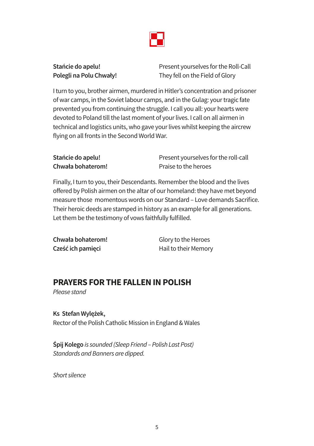

**Stańcie do apelu!** Present yourselves for the Roll-Call **Polegli na Polu Chwały!** They fell on the Field of Glory

I turn to you, brother airmen, murdered in Hitler's concentration and prisoner of war camps, in the Soviet labour camps, and in the Gulag: your tragic fate prevented you from continuing the struggle. I call you all: your hearts were devoted to Poland till the last moment of your lives. I call on all airmen in technical and logistics units, who gave your lives whilst keeping the aircrew flying on all fronts in the Second World War.

| Stańcie do apelu! | Present yourselves for the roll-call |
|-------------------|--------------------------------------|
| Chwała bohaterom! | Praise to the heroes                 |

Finally, I turn to you, their Descendants. Remember the blood and the lives offered by Polish airmen on the altar of our homeland: they have met beyond measure those momentous words on our Standard – Love demands Sacrifice. Their heroic deeds are stamped in history as an example for all generations. Let them be the testimony of vows faithfully fulfilled.

| Chwała bohaterom! | Glory to the Heroes  |
|-------------------|----------------------|
| Cześć ich pamięci | Hail to their Memory |

## **PRAYERS FOR THE FALLEN IN POLISH**

Please stand

#### **Ks Stefan Wylężek,**

Rector of the Polish Catholic Mission in England & Wales

**Śpij Kolego** is sounded (Sleep Friend – Polish Last Post) Standards and Banners are dipped.

Short silence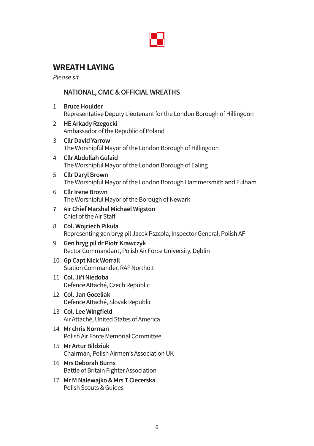

# **WREATH LAYING**

Please sit

#### **NATIONAL, CIVIC & OFFICIAL WREATHS**

- 1 **Bruce Houlder** Representative Deputy Lieutenant for the London Borough of Hillingdon
- 2 **HE Arkady Rzegocki** Ambassador of the Republic of Poland
- 3 **Cllr David Yarrow** The Worshipful Mayor of the London Borough of Hillingdon
- 4 **Cllr Abdullah Gulaid** The Worshipful Mayor of the London Borough of Ealing
- 5 **Cllr Daryl Brown** The Worshipful Mayor of the London Borough Hammersmith and Fulham
- 6 **Cllr Irene Brown** The Worshipful Mayor of the Borough of Newark
- **7 Air Chief Marshal Michael Wigston** Chief of the Air Staff
- 8 **Col. Wojciech Pikuła** Representing gen bryg pil Jacek Pszcoła, Inspector General, Polish AF
- 9 **Gen bryg pil dr Piotr Krawczyk** Rector Commandant, Polish Air Force University, Dęblin
- 10 **Gp Capt Nick Worrall** Station Commander, RAF Northolt
- 11 **Col. Jiři Niedoba** Defence Attaché, Czech Republic
- 12 **Col. Jan Goceliak** Defence Attaché, Slovak Republic
- 13 **Col. Lee Wingfield** Air Attaché, United States of America
- 14 **Mr chris Norman** Polish Air Force Memorial Committee
- 15 **Mr Artur Bildziuk** Chairman, Polish Airmen's Association UK
- 16 **Mrs Deborah Burns** Battle of Britain Fighter Association
- 17 **Mr M Nalewajko & Mrs T Ciecerska** Polish Scouts & Guides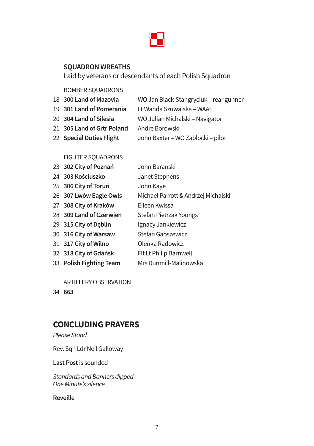

#### **SQUADRON WREATHS**

#### Laid by veterans or descendants of each Polish Squadron

#### BOMBER SQUADRONS

- 18 **300 Land of Mazovia** WO Jan Black-Stangryciuk rear gunner
- 19 **301 Land of Pomerania** Lt Wanda Szuwalska WAAF
- 20 **304 Land of Silesia** WO Julian Michalski Navigator
- 21 **305 Land of Grtr Poland** Andre Borowski
- 
- 22 **Special Duties Flight** John Baxter WO Zablocki pilot

#### FIGHTER SQUADRONS

| 23 302 City of Poznań   | John Baranski                       |
|-------------------------|-------------------------------------|
| 24 303 Kościuszko       | Janet Stephens                      |
| 25 306 City of Toruń    | John Kaye                           |
| 26 307 Lwów Eagle Owls  | Michael Parrott & Andrzej Michalski |
| 27 308 City of Kraków   | Eileen Kwissa                       |
| 28 309 Land of Czerwien | Stefan Pietrzak Youngs              |
| 29 315 City of Deblin   | Ignacy Jankiewicz                   |
| 30 316 City of Warsaw   | Stefan Gabszewicz                   |
| 31 317 City of Wilno    | Oleńka Radowicz                     |
| 32 318 City of Gdańsk   | Flt Lt Philip Barnwell              |
| 33 Polish Fighting Team | Mrs Dunmill-Malinowska              |
|                         |                                     |

ARTILLERY OBSERVATION

34 **663**

# **CONCLUDING PRAYERS**

Please Stand

Rev. Sqn Ldr Neil Galloway

#### **Last Post**is sounded

Standards and Banners dipped One Minute's silence

#### **Reveille**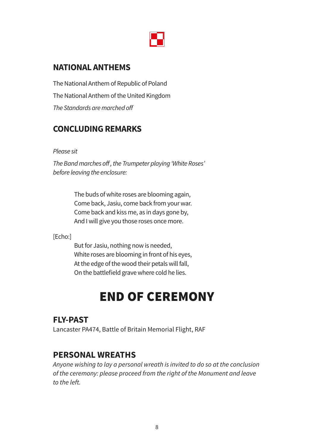

# **NATIONAL ANTHEMS**

The National Anthem of Republic of Poland The National Anthem of the United Kingdom The Standards are marched off

# **CONCLUDING REMARKS**

#### Please sit

The Band marches off , the Trumpeter playing 'White Roses' before leaving the enclosure:

> The buds of white roses are blooming again, Come back, Jasiu, come back from your war. Come back and kiss me, as in days gone by, And I will give you those roses once more.

[Echo:]

But for Jasiu, nothing now is needed, White roses are blooming in front of his eyes, At the edge of the wood their petals will fall, On the battlefield grave where cold he lies.

# END OF CEREMONY

## **FLY-PAST**

Lancaster PA474, Battle of Britain Memorial Flight, RAF

# **PERSONAL WREATHS**

Anyone wishing to lay a personal wreath is invited to do so at the conclusion of the ceremony: please proceed from the right of the Monument and leave to the left.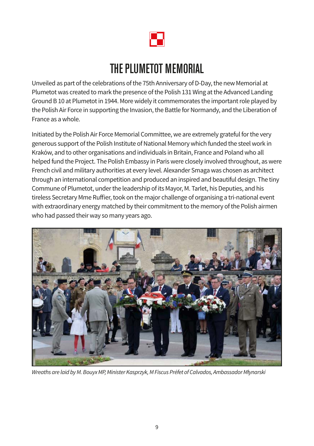

# THE PLUMETOT MEMORIAL

Unveiled as part of the celebrations of the 75th Anniversary of D-Day, the new Memorial at Plumetot was created to mark the presence of the Polish 131 Wing at the Advanced Landing Ground B 10 at Plumetot in 1944. More widely it commemorates the important role played by the Polish Air Force in supporting the Invasion, the Battle for Normandy, and the Liberation of France as a whole.

Initiated by the Polish Air Force Memorial Committee, we are extremely grateful for the very generous support of the Polish Institute of National Memory which funded the steel work in Kraków, and to other organisations and individuals in Britain, France and Poland who all helped fund the Project. The Polish Embassy in Paris were closely involved throughout, as were French civil and military authorities at every level. Alexander Smaga was chosen as architect through an international competition and produced an inspired and beautiful design. The tiny Commune of Plumetot, under the leadership of its Mayor, M. Tarlet, his Deputies, and his tireless Secretary Mme Ruffier, took on the major challenge of organising a tri-national event with extraordinary energy matched by their commitment to the memory of the Polish airmen who had passed their way so many years ago.



Wreaths are laid by M. Bouyx MP, Minister Kasprzyk, M Fiscus Préfet of Calvados, Ambassador Młynarski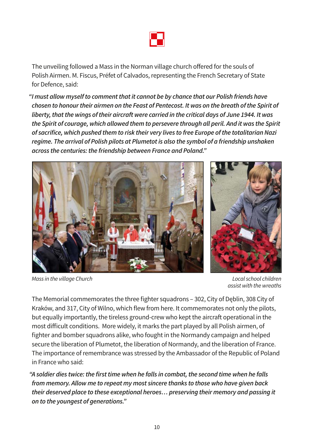

The unveiling followed a Mass in the Norman village church offered for the souls of Polish Airmen. M. Fiscus, Préfet of Calvados, representing the French Secretary of State for Defence, said:

*"I must allow myself to comment that it cannot be by chance that our Polish friends have chosen to honour their airmen on the Feast of Pentecost. It was on the breath of the Spirit of liberty, that the wings of their aircraft were carried in the critical days of June 1944. It was the Spirit of courage, which allowed them to persevere through all peril. And it was the Spirit of sacrifice, which pushed them to risk their very lives to free Europe of the totalitarian Nazi regime. The arrival of Polish pilots at Plumetot is also the symbol of a friendship unshaken across the centuries: the friendship between France and Poland."*



Mass in the village Church Local school children

assist with the wreaths

The Memorial commemorates the three fighter squadrons – 302, City of Dęblin, 308 City of Kraków, and 317, City of Wilno, which flew from here. It commemorates not only the pilots, but equally importantly, the tireless ground-crew who kept the aircraft operational in the most difficult conditions. More widely, it marks the part played by all Polish airmen, of fighter and bomber squadrons alike, who fought in the Normandy campaign and helped secure the liberation of Plumetot, the liberation of Normandy, and the liberation of France. The importance of remembrance was stressed by the Ambassador of the Republic of Poland in France who said:

*"A soldier dies twice: the first time when he falls in combat, the second time when he falls from memory. Allow me to repeat my most sincere thanks to those who have given back their deserved place to these exceptional heroes… preserving their memory and passing it on to the youngest of generations."*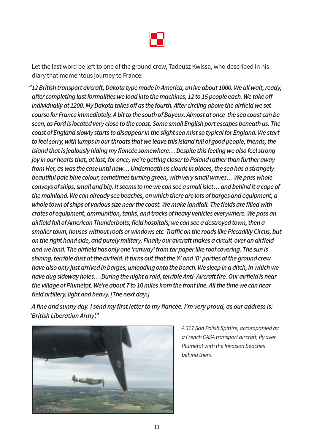

Let the last word be left to one of the ground crew, Tadeusz Kwissa, who described in his diary that momentous journey to France:

*"12 British transport aircraft, Dakota type made in America, arrive about 1000. We all wait, ready, after completing last formalities we load into the machines, 12 to 15 people each. We take off individually at 1200. My Dakota takes off as the fourth. After circling above the airfield we set course for France immediately. A bit to the south of Bayeux. Almost at once the sea coast can be seen, as Ford is located very close to the coast. Some small English port escapes beneath us. The coast of England slowly starts to disappear in the slight sea mist so typical for England. We start to feel sorry, with lumps in our throats that we leave this Island full of good people, friends, the island that is jealously hiding my fiancée somewhere… Despite this feeling we also feel strong joy in our hearts that, at last, for once, we're getting closer to Poland rather than further away from Her, as was the case until now… Underneath us clouds in places, the sea has a strangely beautiful pale blue colour, sometimes turning green, with very small waves… We pass whole convoys of ships, small and big. It seems to me we can see a small islet… and behind it a cape of the mainland. We can already see beaches, on which there are lots of barges and equipment, a whole town of ships of various size near the coast. We make landfall. The fields are filled with crates of equipment, ammunition, tanks, and tracks of heavy vehicles everywhere. We pass an airfield full of American Thunderbolts; field hospitals; we can see a destroyed town, then a smaller town, houses without roofs or windows etc. Traffic on the roads like Piccadilly Circus, but on the right hand side, and purely military. Finally our aircraft makes a circuit over an airfield and we land. The airfield has only one 'runway' from tar paper like roof covering. The sun is shining, terrible dust at the airfield. It turns out that the 'A' and 'B' parties of the ground crew have also only just arrived in barges, unloading onto the beach. We sleep in a ditch, in which we have dug sideway holes… During the night a raid, terrible Anti- Aircraft fire. Our airfield is near the village of Plumetot. We're about 7 to 10 miles from the front line. All the time we can hear field artillery, light and heavy. [The next day:]*

*A fine and sunny day. I send my first letter to my fiancée. I'm very proud, as our address is: 'British Liberation Army'."*



A 317 Sqn Polish Spitfire, accompanied by a French CASA transport aircraft, fly over Plumetot with the Invasion beaches behind them.